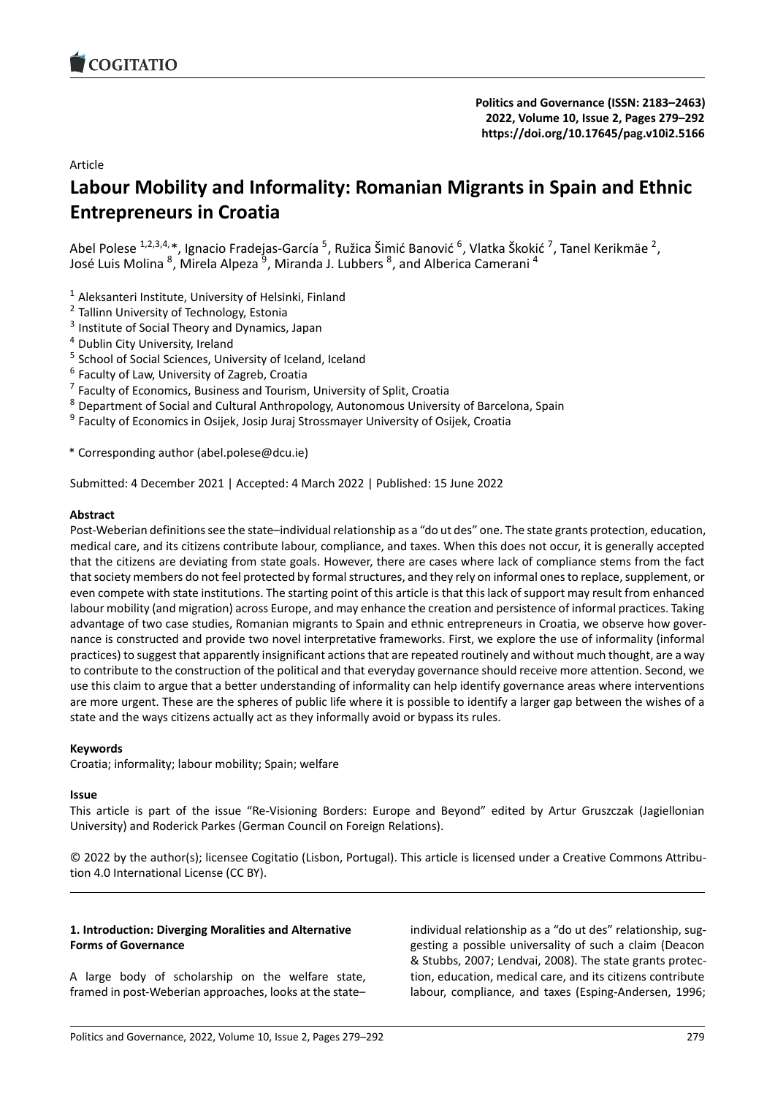# Article

# **Labour Mobility and Informality: Romanian Mig[rants in Spain and Ethnic](https://doi.org/10.17645/pag.v10i2.5166) Entrepreneurs in Croatia**

Abel Polese <sup>1,2,3,4,</sup>\*, Ignacio Fradejas-García <sup>5</sup>, Ružica Šimić Banović <sup>6</sup>, Vlatka Škokić <sup>7</sup>, Tanel Kerikmäe <sup>2</sup>, José Luis Molina <sup>8</sup>, Mirela Alpeza <sup>9</sup>, Miranda J. Lubbers <sup>8</sup>, and Alberica Camerani <sup>4</sup>

- $1$  Aleksanteri Institute, University of Helsinki, Finland
- <sup>2</sup> Tallinn University of Technology, Estonia
- <sup>3</sup> Institute of Social Theory and Dynamics, Japan
- <sup>4</sup> Dublin City University, Ireland
- <sup>5</sup> School of Social Sciences, University of Iceland, Iceland
- 6 Faculty of Law, University of Zagreb, Croatia
- <sup>7</sup> Faculty of Economics, Business and Tourism, University of Split, Croatia
- <sup>8</sup> Department of Social and Cultural Anthropology, Autonomous University of Barcelona, Spain
- <sup>9</sup> Faculty of Economics in Osijek, Josip Juraj Strossmayer University of Osijek, Croatia

\* Corresponding author (abel.polese@dcu.ie)

Submitted: 4 December 2021 | Accepted: 4 March 2022 | Published: 15 June 2022

# **Abstract**

Post-Weberian definitions see the state-individual relationship as a "do ut des" one. The state grants protection, education, medical care, and its citizens contribute labour, compliance, and taxes. When this does not occur, it is generally accepted that the citizens are deviating from state goals. However, there are cases where lack of compliance stems from the fact that society members do not feel protected by formal structures, and they rely on informal ones to replace, supplement, or even compete with state institutions. The starting point of this article is that this lack of support may result from enhanced labour mobility (and migration) across Europe, and may enhance the creation and persistence of informal practices. Taking advantage of two case studies, Romanian migrants to Spain and ethnic entrepreneurs in Croatia, we observe how governance is constructed and provide two novel interpretative frameworks. First, we explore the use of informality (informal practices) to suggest that apparently insignificant actions that are repeated routinely and without much thought, are a way to contribute to the construction of the political and that everyday governance should receive more attention. Second, we use this claim to argue that a better understanding of informality can help identify governance areas where interventions are more urgent. These are the spheres of public life where it is possible to identify a larger gap between the wishes of a state and the ways citizens actually act as they informally avoid or bypass its rules.

# **Keywords**

Croatia; informality; labour mobility; Spain; welfare

### **Issue**

This article is part of the issue "Re‐Visioning Borders: Europe and Beyond" edited by Artur Gruszczak (Jagiellonian University) and Roderick Parkes (German Council on Foreign Relations).

© 2022 by the author(s); licensee Cogitatio (Lisbon, Portugal). This article is licensed under a Creative Commons Attribu‐ tion 4.0 International License (CC BY).

# **1. Introduction: Diverging Moralities and Alternative Forms of Governance**

A large body of scholarship on the welfare state, framed in post-Weberian approaches, looks at the state–

individual relationship as a "do ut des" relationship, suggesting a possible universality of such a claim (Deacon & Stubbs, 2007; Lendvai, 2008). The state grants protec‐ tion, education, medical care, and its citizens contribute labour, compliance, and taxes (Esping‐Andersen, 1996;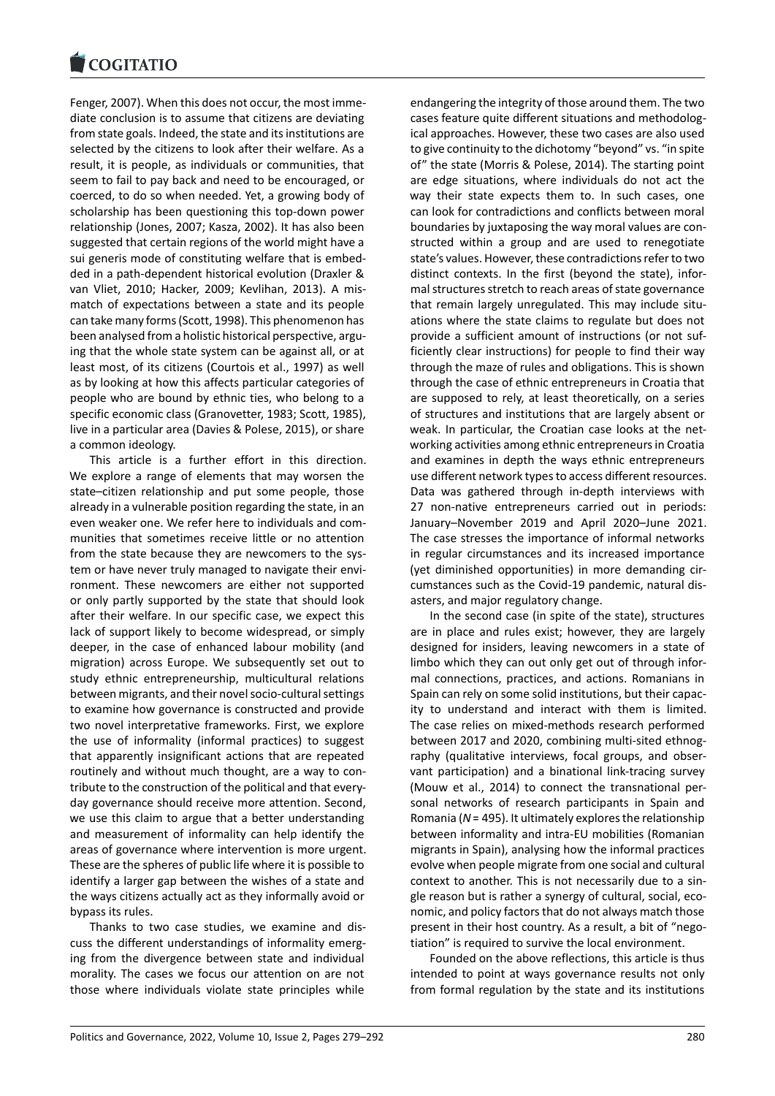Fenger, 2007). When this does not occur, the most imme‐ [diate conclusion is to](https://www.cogitatiopress.com) assume that citizens are deviating from state goals. Indeed, the state and its institutions are selected by the citizens to look after their welfare. As a result, it is people, as individuals or communities, that seem to fail to pay back and need to be encouraged, or coerced, to do so when needed. Yet, a growing body of scholarship has been questioning this top‐down power relationship (Jones, 2007; Kasza, 2002). It has also been suggested that certain regions of the world might have a sui generis mode of constituting welfare that is embed‐ ded in a path‐dependent historical evolution (Draxler & van Vliet, 2010; Hacker, 2009; Kevlihan, 2013). A mis‐ match of expectations between a state and its people can take many forms (Scott, 1998). This phenomenon has been analysed from a holistic historical perspective, arguing that the whole state system can be against all, or at least most, of its citizens (Courtois et al., 1997) as well as by looking at how this affects particular categories of people who are bound by ethnic ties, who belong to a specific economic class (Granovetter, 1983; Scott, 1985), live in a particular area (Davies & Polese, 2015), or share a common ideology.

This article is a further effort in this direction. We explore a range of elements that may worsen the state–citizen relationship and put some people, those already in a vulnerable position regarding the state, in an even weaker one. We refer here to individuals and com‐ munities that sometimes receive little or no attention from the state because they are newcomers to the system or have never truly managed to navigate their envi‐ ronment. These newcomers are either not supported or only partly supported by the state that should look after their welfare. In our specific case, we expect this lack of support likely to become widespread, or simply deeper, in the case of enhanced labour mobility (and migration) across Europe. We subsequently set out to study ethnic entrepreneurship, multicultural relations between migrants, and their novel socio‐cultural settings to examine how governance is constructed and provide two novel interpretative frameworks. First, we explore the use of informality (informal practices) to suggest that apparently insignificant actions that are repeated routinely and without much thought, are a way to con‐ tribute to the construction of the political and that every‐ day governance should receive more attention. Second, we use this claim to argue that a better understanding and measurement of informality can help identify the areas of governance where intervention is more urgent. These are the spheres of public life where it is possible to identify a larger gap between the wishes of a state and the ways citizens actually act as they informally avoid or bypass its rules.

Thanks to two case studies, we examine and dis‐ cuss the different understandings of informality emerg‐ ing from the divergence between state and individual morality. The cases we focus our attention on are not those where individuals violate state principles while

endangering the integrity of those around them. The two cases feature quite different situations and methodolog‐ ical approaches. However, these two cases are also used to give continuity to the dichotomy "beyond" vs. "in spite of" the state (Morris & Polese, 2014). The starting point are edge situations, where individuals do not act the way their state expects them to. In such cases, one can look for contradictions and conflicts between moral boundaries by juxtaposing the way moral values are con‐ structed within a group and are used to renegotiate state's values. However, these contradictions refer to two distinct contexts. In the first (beyond the state), infor‐ mal structures stretch to reach areas of state governance that remain largely unregulated. This may include situ‐ ations where the state claims to regulate but does not provide a sufficient amount of instructions (or not suf‐ ficiently clear instructions) for people to find their way through the maze of rules and obligations. This is shown through the case of ethnic entrepreneurs in Croatia that are supposed to rely, at least theoretically, on a series of structures and institutions that are largely absent or weak. In particular, the Croatian case looks at the networking activities among ethnic entrepreneurs in Croatia and examines in depth the ways ethnic entrepreneurs use different network types to access different resources. Data was gathered through in‐depth interviews with 27 non-native entrepreneurs carried out in periods: January–November 2019 and April 2020–June 2021. The case stresses the importance of informal networks in regular circumstances and its increased importance (yet diminished opportunities) in more demanding cir‐ cumstances such as the Covid‐19 pandemic, natural dis‐ asters, and major regulatory change.

In the second case (in spite of the state), structures are in place and rules exist; however, they are largely designed for insiders, leaving newcomers in a state of limbo which they can out only get out of through infor‐ mal connections, practices, and actions. Romanians in Spain can rely on some solid institutions, but their capac‐ ity to understand and interact with them is limited. The case relies on mixed‐methods research performed between 2017 and 2020, combining multi‐sited ethnog‐ raphy (qualitative interviews, focal groups, and obser‐ vant participation) and a binational link‐tracing survey (Mouw et al., 2014) to connect the transnational per‐ sonal networks of research participants in Spain and Romania (*N* = 495). It ultimately explores the relationship between informality and intra‐EU mobilities (Romanian migrants in Spain), analysing how the informal practices evolve when people migrate from one social and cultural context to another. This is not necessarily due to a sin‐ gle reason but is rather a synergy of cultural, social, eco‐ nomic, and policy factors that do not always match those present in their host country. As a result, a bit of "nego‐ tiation" is required to survive the local environment.

Founded on the above reflections, this article is thus intended to point at ways governance results not only from formal regulation by the state and its institutions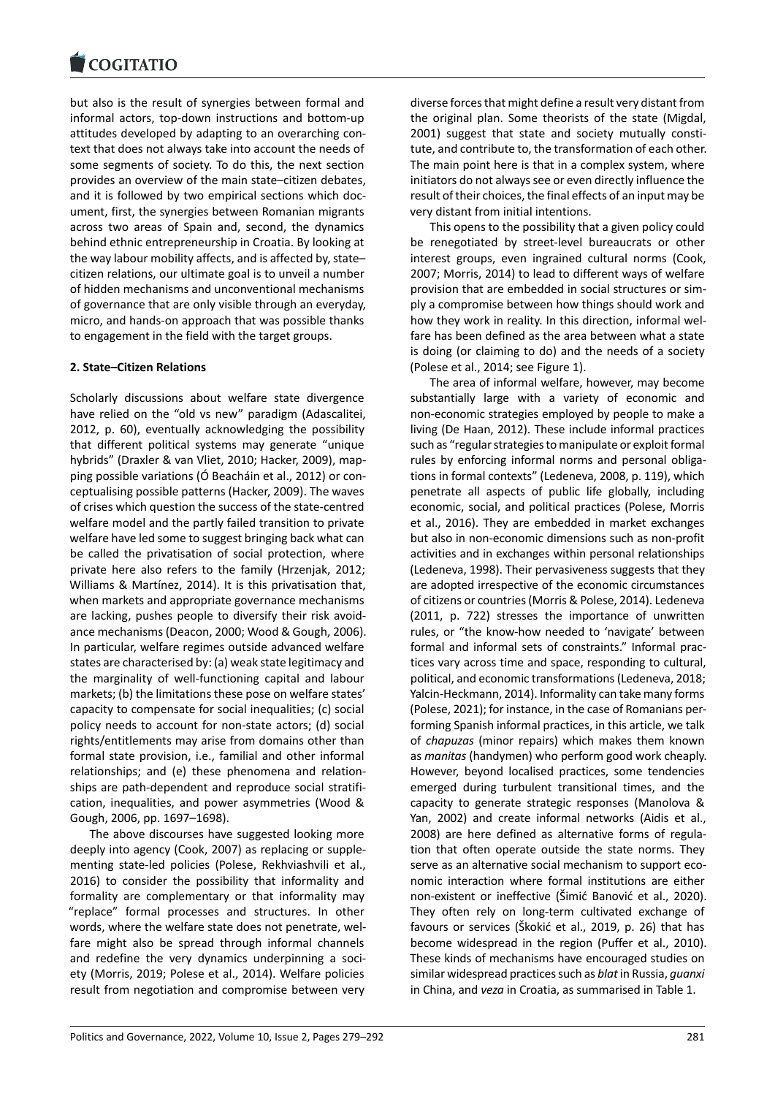but also is the result of synergies between formal and [informal actors, top](https://www.cogitatiopress.com)‐down instructions and bottom‐up attitudes developed by adapting to an overarching con‐ text that does not always take into account the needs of some segments of society. To do this, the next section provides an overview of the main state–citizen debates, and it is followed by two empirical sections which doc‐ ument, first, the synergies between Romanian migrants across two areas of Spain and, second, the dynamics behind ethnic entrepreneurship in Croatia. By looking at the way labour mobility affects, and is affected by, state– citizen relations, our ultimate goal is to unveil a number of hidden mechanisms and unconventional mechanisms of governance that are only visible through an everyday, micro, and hands‐on approach that was possible thanks to engagement in the field with the target groups.

# **2. State–Citizen Relations**

Scholarly discussions about welfare state divergence have relied on the "old vs new" paradigm (Adascalitei, 2012, p. 60), eventually acknowledging the possibility that different political systems may generate "unique hybrids" (Draxler & van Vliet, 2010; Hacker, 2009), map‐ ping possible variations (Ó Beacháin et al., 2012) or con‐ ceptualising possible patterns (Hacker, 2009). The waves of crises which question the success of the state‐centred welfare model and the partly failed transition to private welfare have led some to suggest bringing back what can be called the privatisation of social protection, where private here also refers to the family (Hrzenjak, 2012; Williams & Martínez, 2014). It is this privatisation that, when markets and appropriate governance mechanisms are lacking, pushes people to diversify their risk avoid‐ ance mechanisms (Deacon, 2000; Wood & Gough, 2006). In particular, welfare regimes outside advanced welfare states are characterised by: (a) weak state legitimacy and the marginality of well‐functioning capital and labour markets; (b) the limitations these pose on welfare states' capacity to compensate for social inequalities; (c) social policy needs to account for non‐state actors; (d) social rights/entitlements may arise from domains other than formal state provision, i.e., familial and other informal relationships; and (e) these phenomena and relation‐ ships are path‐dependent and reproduce social stratifi‐ cation, inequalities, and power asymmetries (Wood & Gough, 2006, pp. 1697–1698).

The above discourses have suggested looking more deeply into agency (Cook, 2007) as replacing or supple‐ menting state‐led policies (Polese, Rekhviashvili et al., 2016) to consider the possibility that informality and formality are complementary or that informality may "replace" formal processes and structures. In other words, where the welfare state does not penetrate, wel‐ fare might also be spread through informal channels and redefine the very dynamics underpinning a society (Morris, 2019; Polese et al., 2014). Welfare policies result from negotiation and compromise between very diverse forces that might define a result very distant from the original plan. Some theorists of the state (Migdal, 2001) suggest that state and society mutually constitute, and contribute to, the transformation of each other. The main point here is that in a complex system, where initiators do not always see or even directly influence the result of their choices, the final effects of an input may be very distant from initial intentions.

This opens to the possibility that a given policy could be renegotiated by street‐level bureaucrats or other interest groups, even ingrained cultural norms (Cook, 2007; Morris, 2014) to lead to different ways of welfare provision that are embedded in social structures or sim‐ ply a compromise between how things should work and how they work in reality. In this direction, informal wel‐ fare has been defined as the area between what a state is doing (or claiming to do) and the needs of a society (Polese et al., 2014; see Figure 1).

The area of informal welfare, however, may become substantially large with a variety of economic and non‐economic strategies employed by people to make a living (De Haan, 2012). These include informal practices such as "regular strategies to manipulate or exploit formal rules by enforcing informal norms and personal obligations in formal contexts" (Ledeneva, 2008, p. 119), which penetrate all aspects of public life globally, including economic, social, and political practices (Polese, Morris et al., 2016). They are embedded in market exchanges but also in non‐economic dimensions such as non‐profit activities and in exchanges within personal relationships (Ledeneva, 1998). Their pervasiveness suggests that they are adopted irrespective of the economic circumstances of citizens or countries (Morris & Polese, 2014). Ledeneva (2011, p. 722) stresses the importance of unwritten rules, or "the know‐how needed to 'navigate' between formal and informal sets of constraints." Informal prac‐ tices vary across time and space, responding to cultural, political, and economic transformations (Ledeneva, 2018; Yalcin‐Heckmann, 2014). Informality can take many forms (Polese, 2021); for instance, in the case of Romanians per‐ forming Spanish informal practices, in this article, we talk of *chapuzas* (minor repairs) which makes them known as *manitas* (handymen) who perform good work cheaply. However, beyond localised practices, some tendencies emerged during turbulent transitional times, and the capacity to generate strategic responses (Manolova & Yan, 2002) and create informal networks (Aidis et al., 2008) are here defined as alternative forms of regula‐ tion that often operate outside the state norms. They serve as an alternative social mechanism to support economic interaction where formal institutions are either non‐existent or ineffective (Šimić Banović et al., 2020). They often rely on long-term cultivated exchange of favours or services (Škokić et al., 2019, p. 26) that has become widespread in the region (Puffer et al., 2010). These kinds of mechanisms have encouraged studies on similar widespread practices such as *blat*in Russia, *guanxi* in China, and *veza* in Croatia, as summarised in Table 1.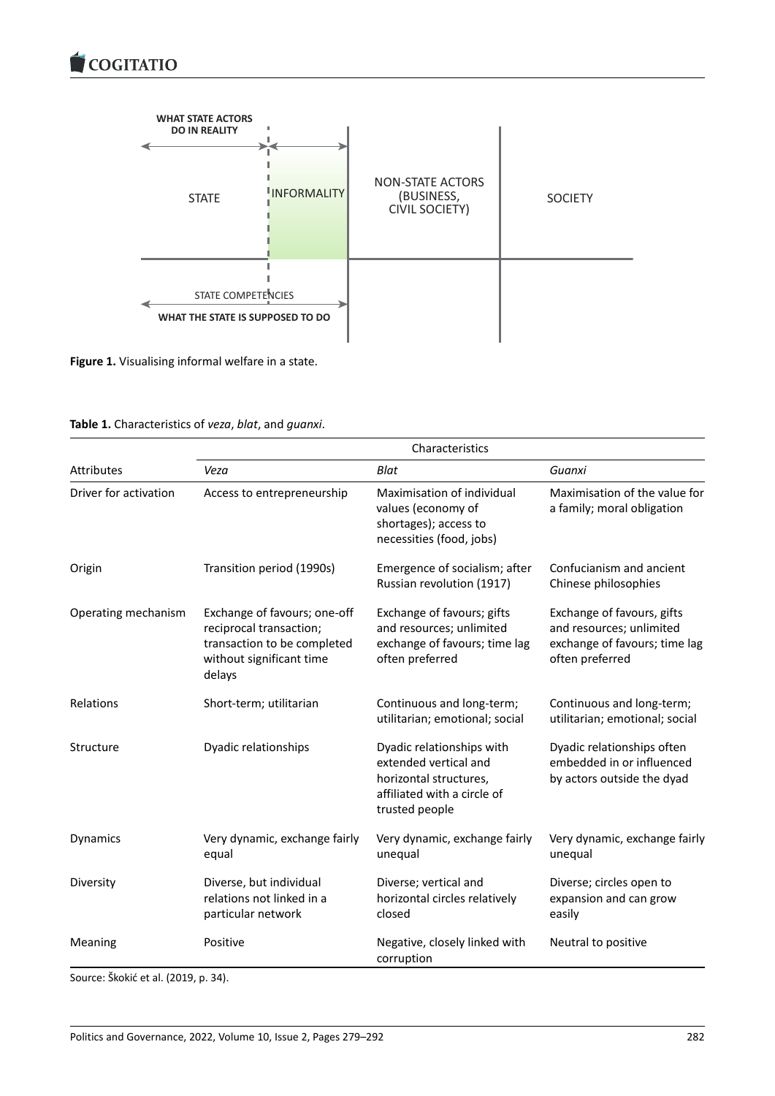

**Figure 1.** Visualising informal welfare in a state.

|  | Table 1. Characteristics of veza, blat, and guanxi. |  |  |  |  |
|--|-----------------------------------------------------|--|--|--|--|
|--|-----------------------------------------------------|--|--|--|--|

|                       | Characteristics                                                                                                              |                                                                                                                               |                                                                                                            |  |  |
|-----------------------|------------------------------------------------------------------------------------------------------------------------------|-------------------------------------------------------------------------------------------------------------------------------|------------------------------------------------------------------------------------------------------------|--|--|
| <b>Attributes</b>     | Veza                                                                                                                         | Blat                                                                                                                          | Guanxi                                                                                                     |  |  |
| Driver for activation | Access to entrepreneurship                                                                                                   | Maximisation of individual<br>values (economy of<br>shortages); access to<br>necessities (food, jobs)                         | Maximisation of the value for<br>a family; moral obligation                                                |  |  |
| Origin                | Transition period (1990s)                                                                                                    | Emergence of socialism; after<br>Russian revolution (1917)                                                                    | Confucianism and ancient<br>Chinese philosophies                                                           |  |  |
| Operating mechanism   | Exchange of favours; one-off<br>reciprocal transaction;<br>transaction to be completed<br>without significant time<br>delays | Exchange of favours; gifts<br>and resources; unlimited<br>exchange of favours; time lag<br>often preferred                    | Exchange of favours, gifts<br>and resources; unlimited<br>exchange of favours; time lag<br>often preferred |  |  |
| Relations             | Short-term; utilitarian                                                                                                      | Continuous and long-term;<br>utilitarian; emotional; social                                                                   | Continuous and long-term;<br>utilitarian; emotional; social                                                |  |  |
| Structure             | Dyadic relationships                                                                                                         | Dyadic relationships with<br>extended vertical and<br>horizontal structures,<br>affiliated with a circle of<br>trusted people | Dyadic relationships often<br>embedded in or influenced<br>by actors outside the dyad                      |  |  |
| Dynamics              | Very dynamic, exchange fairly<br>equal                                                                                       | Very dynamic, exchange fairly<br>unequal                                                                                      | Very dynamic, exchange fairly<br>unequal                                                                   |  |  |
| Diversity             | Diverse, but individual<br>relations not linked in a<br>particular network                                                   | Diverse; vertical and<br>horizontal circles relatively<br>closed                                                              | Diverse; circles open to<br>expansion and can grow<br>easily                                               |  |  |
| Meaning               | Positive                                                                                                                     | Negative, closely linked with<br>corruption                                                                                   | Neutral to positive                                                                                        |  |  |

Source: Škokić et al. (2019, p. 34).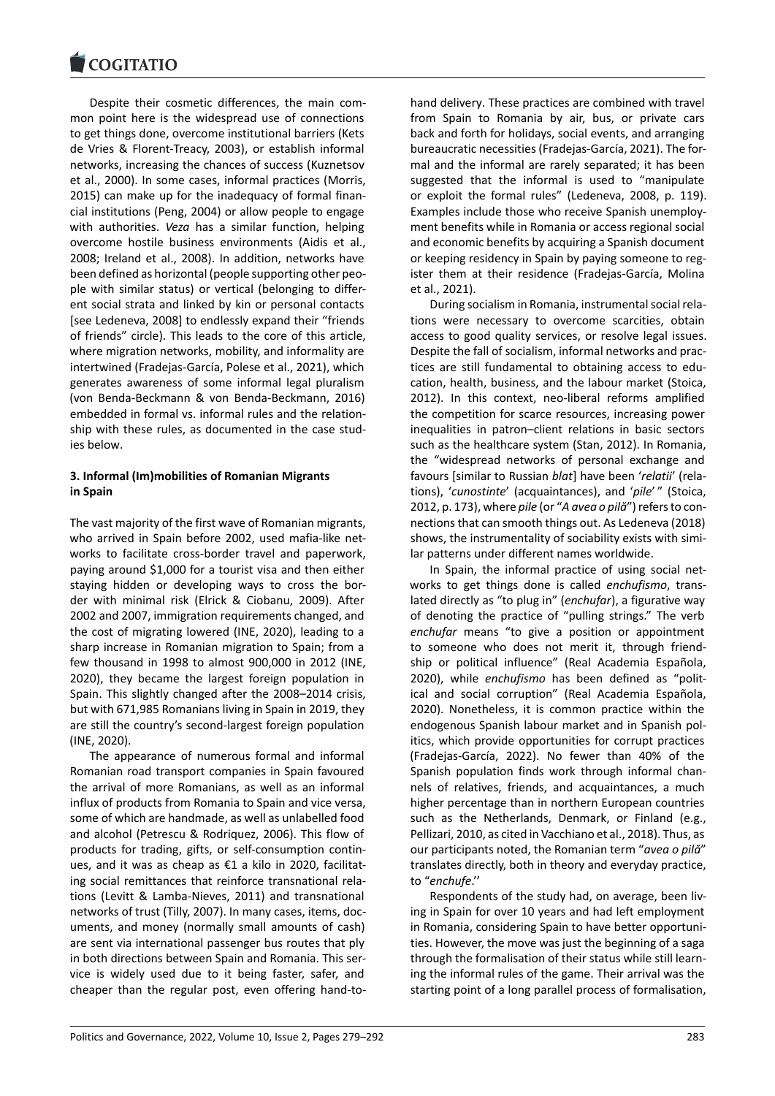Despite their cosmetic differences, the main com‐ [mon point here is t](https://www.cogitatiopress.com)he widespread use of connections to get things done, overcome institutional barriers (Kets de Vries & Florent‐Treacy, 2003), or establish informal networks, increasing the chances of success (Kuznetsov et al., 2000). In some cases, informal practices (Morris, 2015) can make up for the inadequacy of formal finan‐ cial institutions (Peng, 2004) or allow people to engage with authorities. *Veza* has a similar function, helping overcome hostile business environments (Aidis et al., 2008; Ireland et al., 2008). In addition, networks have been defined as horizontal (people supporting other peo‐ ple with similar status) or vertical (belonging to differ‐ ent social strata and linked by kin or personal contacts [see Ledeneva, 2008] to endlessly expand their "friends of friends" circle). This leads to the core of this article, where migration networks, mobility, and informality are intertwined (Fradejas‐García, Polese et al., 2021), which generates awareness of some informal legal pluralism (von Benda‐Beckmann & von Benda‐Beckmann, 2016) embedded in formal vs. informal rules and the relation‐ ship with these rules, as documented in the case stud‐ ies below.

# **3. Informal (Im)mobilities of Romanian Migrants in Spain**

The vast majority of the first wave of Romanian migrants, who arrived in Spain before 2002, used mafia‐like net‐ works to facilitate cross‐border travel and paperwork, paying around \$1,000 for a tourist visa and then either staying hidden or developing ways to cross the bor‐ der with minimal risk (Elrick & Ciobanu, 2009). After 2002 and 2007, immigration requirements changed, and the cost of migrating lowered (INE, 2020), leading to a sharp increase in Romanian migration to Spain; from a few thousand in 1998 to almost 900,000 in 2012 (INE, 2020), they became the largest foreign population in Spain. This slightly changed after the 2008–2014 crisis, but with 671,985 Romanians living in Spain in 2019, they are still the country's second‐largest foreign population (INE, 2020).

The appearance of numerous formal and informal Romanian road transport companies in Spain favoured the arrival of more Romanians, as well as an informal influx of products from Romania to Spain and vice versa, some of which are handmade, as well as unlabelled food and alcohol (Petrescu & Rodriquez, 2006). This flow of products for trading, gifts, or self‐consumption contin‐ ues, and it was as cheap as €1 a kilo in 2020, facilitat‐ ing social remittances that reinforce transnational rela‐ tions (Levitt & Lamba‐Nieves, 2011) and transnational networks of trust (Tilly, 2007). In many cases, items, doc‐ uments, and money (normally small amounts of cash) are sent via international passenger bus routes that ply in both directions between Spain and Romania. This ser‐ vice is widely used due to it being faster, safer, and cheaper than the regular post, even offering hand‐to‐ hand delivery. These practices are combined with travel from Spain to Romania by air, bus, or private cars back and forth for holidays, social events, and arranging bureaucratic necessities (Fradejas‐García, 2021). The for‐ mal and the informal are rarely separated; it has been suggested that the informal is used to "manipulate or exploit the formal rules" (Ledeneva, 2008, p. 119). Examples include those who receive Spanish unemploy‐ ment benefits while in Romania or access regional social and economic benefits by acquiring a Spanish document or keeping residency in Spain by paying someone to reg‐ ister them at their residence (Fradejas‐García, Molina et al., 2021).

During socialism in Romania, instrumental social rela‐ tions were necessary to overcome scarcities, obtain access to good quality services, or resolve legal issues. Despite the fall of socialism, informal networks and prac‐ tices are still fundamental to obtaining access to edu‐ cation, health, business, and the labour market (Stoica, 2012). In this context, neo-liberal reforms amplified the competition for scarce resources, increasing power inequalities in patron–client relations in basic sectors such as the healthcare system (Stan, 2012). In Romania, the "widespread networks of personal exchange and favours [similar to Russian *blat*] have been '*relatii*' (rela‐ tions), '*cunostinte*' (acquaintances), and '*pile*' " (Stoica, 2012, p. 173), where *pile* (or "*A avea o pilă*") refers to con‐ nections that can smooth things out. As Ledeneva (2018) shows, the instrumentality of sociability exists with simi‐ lar patterns under different names worldwide.

In Spain, the informal practice of using social net‐ works to get things done is called *enchufismo*, trans‐ lated directly as "to plug in" (*enchufar*), a figurative way of denoting the practice of "pulling strings." The verb *enchufar* means "to give a position or appointment to someone who does not merit it, through friend‐ ship or political influence" (Real Academia Española, 2020), while *enchufismo* has been defined as "polit‐ ical and social corruption" (Real Academia Española, 2020). Nonetheless, it is common practice within the endogenous Spanish labour market and in Spanish pol‐ itics, which provide opportunities for corrupt practices (Fradejas‐García, 2022). No fewer than 40% of the Spanish population finds work through informal chan‐ nels of relatives, friends, and acquaintances, a much higher percentage than in northern European countries such as the Netherlands, Denmark, or Finland (e.g., Pellizari, 2010, as cited in Vacchiano et al., 2018). Thus, as our participants noted, the Romanian term "*avea o pilă*" translates directly, both in theory and everyday practice, to "*enchufe*.''

Respondents of the study had, on average, been liv‐ ing in Spain for over 10 years and had left employment in Romania, considering Spain to have better opportuni‐ ties. However, the move was just the beginning of a saga through the formalisation of their status while still learn‐ ing the informal rules of the game. Their arrival was the starting point of a long parallel process of formalisation,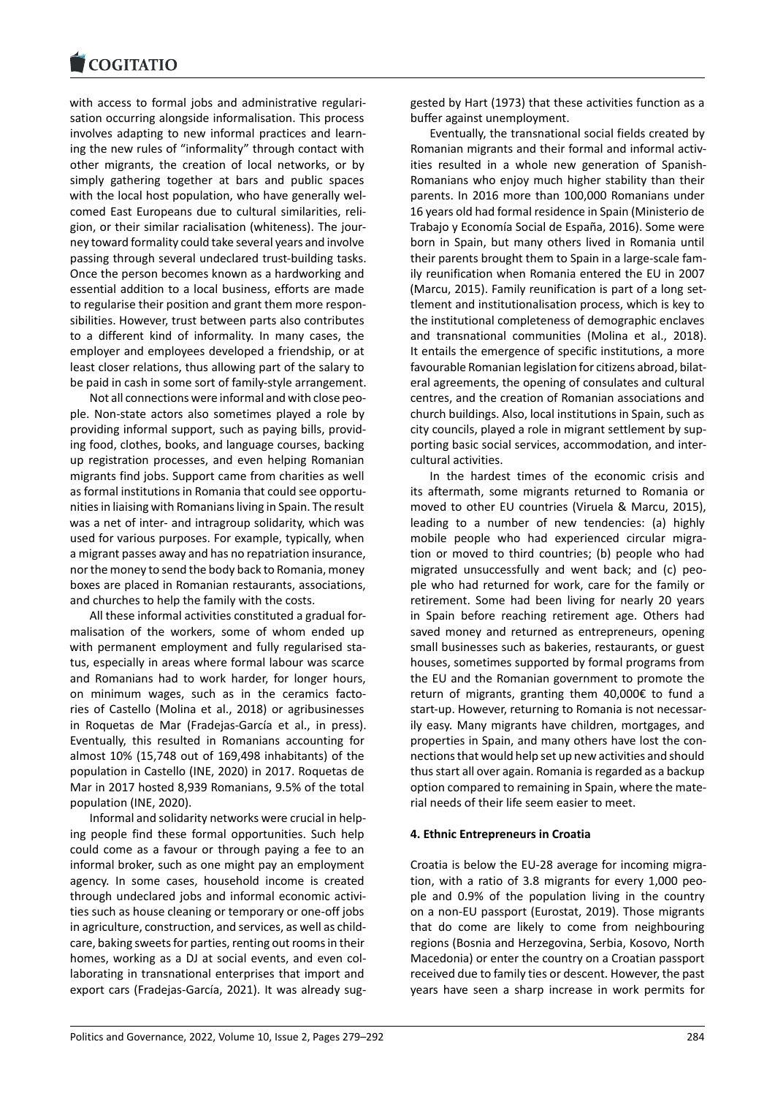with access to formal jobs and administrative regulari[sation occurring alon](https://www.cogitatiopress.com)gside informalisation. This process involves adapting to new informal practices and learn‐ ing the new rules of "informality" through contact with other migrants, the creation of local networks, or by simply gathering together at bars and public spaces with the local host population, who have generally welcomed East Europeans due to cultural similarities, reli‐ gion, or their similar racialisation (whiteness). The jour‐ ney toward formality could take several years and involve passing through several undeclared trust‐building tasks. Once the person becomes known as a hardworking and essential addition to a local business, efforts are made to regularise their position and grant them more respon‐ sibilities. However, trust between parts also contributes to a different kind of informality. In many cases, the employer and employees developed a friendship, or at least closer relations, thus allowing part of the salary to be paid in cash in some sort of family‐style arrangement.

Not all connections were informal and with close peo‐ ple. Non‐state actors also sometimes played a role by providing informal support, such as paying bills, provid‐ ing food, clothes, books, and language courses, backing up registration processes, and even helping Romanian migrants find jobs. Support came from charities as well as formal institutions in Romania that could see opportu‐ nities in liaising with Romanians living in Spain. The result was a net of inter‐ and intragroup solidarity, which was used for various purposes. For example, typically, when a migrant passes away and has no repatriation insurance, nor the money to send the body back to Romania, money boxes are placed in Romanian restaurants, associations, and churches to help the family with the costs.

All these informal activities constituted a gradual for‐ malisation of the workers, some of whom ended up with permanent employment and fully regularised status, especially in areas where formal labour was scarce and Romanians had to work harder, for longer hours, on minimum wages, such as in the ceramics facto‐ ries of Castello (Molina et al., 2018) or agribusinesses in Roquetas de Mar (Fradejas‐García et al., in press). Eventually, this resulted in Romanians accounting for almost 10% (15,748 out of 169,498 inhabitants) of the population in Castello (INE, 2020) in 2017. Roquetas de Mar in 2017 hosted 8,939 Romanians, 9.5% of the total population (INE, 2020).

Informal and solidarity networks were crucial in help‐ ing people find these formal opportunities. Such help could come as a favour or through paying a fee to an informal broker, such as one might pay an employment agency. In some cases, household income is created through undeclared jobs and informal economic activi‐ ties such as house cleaning or temporary or one‐off jobs in agriculture, construction, and services, as well as child‐ care, baking sweets for parties, renting out rooms in their homes, working as a DJ at social events, and even col‐ laborating in transnational enterprises that import and export cars (Fradejas‐García, 2021). It was already sug‐ gested by Hart (1973) that these activities function as a buffer against unemployment.

Eventually, the transnational social fields created by Romanian migrants and their formal and informal activ‐ ities resulted in a whole new generation of Spanish‐ Romanians who enjoy much higher stability than their parents. In 2016 more than 100,000 Romanians under 16 years old had formal residence in Spain (Ministerio de Trabajo y Economía Social de España, 2016). Some were born in Spain, but many others lived in Romania until their parents brought them to Spain in a large‐scale fam‐ ily reunification when Romania entered the EU in 2007 (Marcu, 2015). Family reunification is part of a long settlement and institutionalisation process, which is key to the institutional completeness of demographic enclaves and transnational communities (Molina et al., 2018). It entails the emergence of specific institutions, a more favourable Romanian legislation for citizens abroad, bilat‐ eral agreements, the opening of consulates and cultural centres, and the creation of Romanian associations and church buildings. Also, local institutions in Spain, such as city councils, played a role in migrant settlement by sup‐ porting basic social services, accommodation, and inter‐ cultural activities.

In the hardest times of the economic crisis and its aftermath, some migrants returned to Romania or moved to other EU countries (Viruela & Marcu, 2015), leading to a number of new tendencies: (a) highly mobile people who had experienced circular migration or moved to third countries; (b) people who had migrated unsuccessfully and went back; and (c) peo‐ ple who had returned for work, care for the family or retirement. Some had been living for nearly 20 years in Spain before reaching retirement age. Others had saved money and returned as entrepreneurs, opening small businesses such as bakeries, restaurants, or guest houses, sometimes supported by formal programs from the EU and the Romanian government to promote the return of migrants, granting them 40,000€ to fund a start‐up. However, returning to Romania is not necessar‐ ily easy. Many migrants have children, mortgages, and properties in Spain, and many others have lost the con‐ nections that would help set up new activities and should thus start all over again. Romania is regarded as a backup option compared to remaining in Spain, where the mate‐ rial needs of their life seem easier to meet.

### **4. Ethnic Entrepreneurs in Croatia**

Croatia is below the EU‐28 average for incoming migra‐ tion, with a ratio of 3.8 migrants for every 1,000 peo‐ ple and 0.9% of the population living in the country on a non‐EU passport (Eurostat, 2019). Those migrants that do come are likely to come from neighbouring regions (Bosnia and Herzegovina, Serbia, Kosovo, North Macedonia) or enter the country on a Croatian passport received due to family ties or descent. However, the past years have seen a sharp increase in work permits for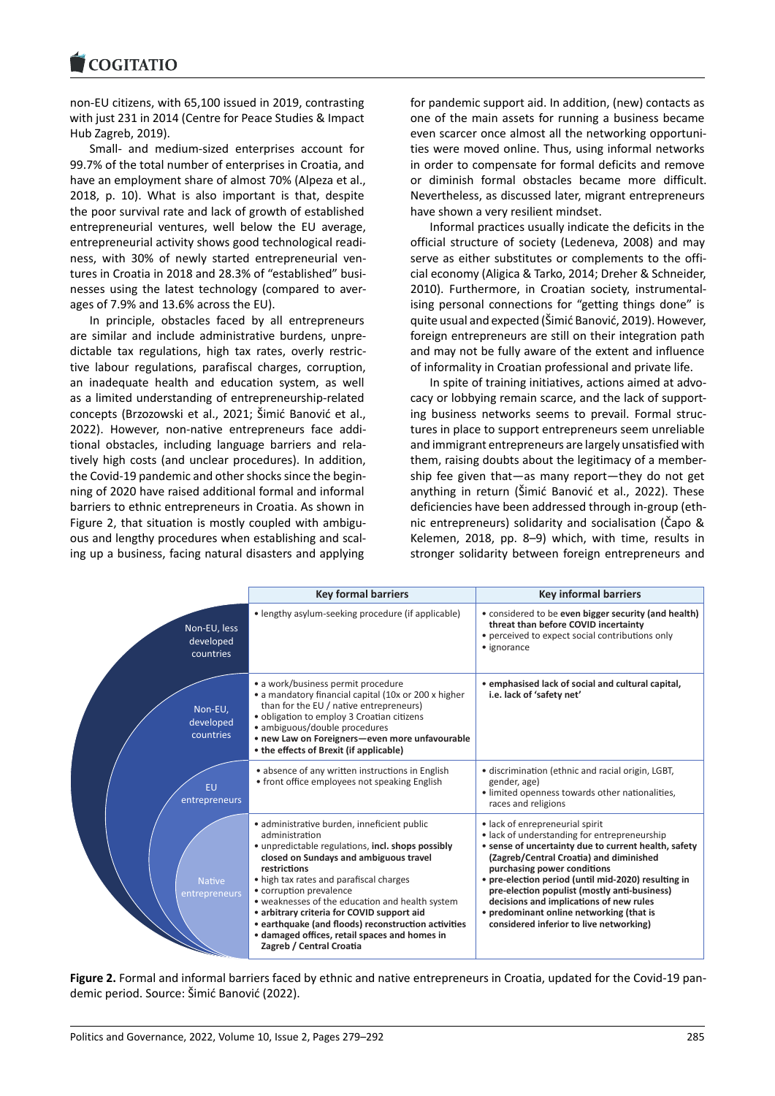non‐EU citizens, with 65,100 issued in 2019, contrasting [with just 231 in 2014](https://www.cogitatiopress.com) (Centre for Peace Studies & Impact Hub Zagreb, 2019).

Small‐ and medium‐sized enterprises account for 99.7% of the total number of enterprises in Croatia, and have an employment share of almost 70% (Alpeza et al., 2018, p. 10). What is also important is that, despite the poor survival rate and lack of growth of established entrepreneurial ventures, well below the EU average, entrepreneurial activity shows good technological readi‐ ness, with 30% of newly started entrepreneurial ven‐ tures in Croatia in 2018 and 28.3% of "established" busi‐ nesses using the latest technology (compared to aver‐ ages of 7.9% and 13.6% across the EU).

In principle, obstacles faced by all entrepreneurs are similar and include administrative burdens, unpre‐ dictable tax regulations, high tax rates, overly restric‐ tive labour regulations, parafiscal charges, corruption, an inadequate health and education system, as well as a limited understanding of entrepreneurship‐related concepts (Brzozowski et al., 2021; Šimić Banović et al., 2022). However, non‐native entrepreneurs face addi‐ tional obstacles, including language barriers and rela‐ tively high costs (and unclear procedures). In addition, the Covid‐19 pandemic and other shocks since the begin‐ ning of 2020 have raised additional formal and informal barriers to ethnic entrepreneurs in Croatia. As shown in Figure 2, that situation is mostly coupled with ambiguous and lengthy procedures when establishing and scal‐ ing up a business, facing natural disasters and applying

for pandemic support aid. In addition, (new) contacts as one of the main assets for running a business became even scarcer once almost all the networking opportuni‐ ties were moved online. Thus, using informal networks in order to compensate for formal deficits and remove or diminish formal obstacles became more difficult. Nevertheless, as discussed later, migrant entrepreneurs have shown a very resilient mindset.

Informal practices usually indicate the deficits in the official structure of society (Ledeneva, 2008) and may serve as either substitutes or complements to the official economy (Aligica & Tarko, 2014; Dreher & Schneider, 2010). Furthermore, in Croatian society, instrumental‐ ising personal connections for "getting things done" is quite usual and expected (Šimić Banović, 2019). However, foreign entrepreneurs are still on their integration path and may not be fully aware of the extent and influence of informality in Croatian professional and private life.

In spite of training initiatives, actions aimed at advo‐ cacy or lobbying remain scarce, and the lack of support‐ ing business networks seems to prevail. Formal struc‐ tures in place to support entrepreneurs seem unreliable and immigrant entrepreneurs are largely unsatisfied with them, raising doubts about the legitimacy of a member‐ ship fee given that—as many report—they do not get anything in return (Šimić Banović et al., 2022). These deficiencies have been addressed through in‐group (eth‐ nic entrepreneurs) solidarity and socialisation (Čapo & Kelemen, 2018, pp. 8–9) which, with time, results in stronger solidarity between foreign entrepreneurs and

|                                        | <b>Key formal barriers</b>                                                                                                                                                                                                                                                                                                                                                                                                                                                              | <b>Key informal barriers</b>                                                                                                                                                                                                                                                                                                                                                                                                                               |
|----------------------------------------|-----------------------------------------------------------------------------------------------------------------------------------------------------------------------------------------------------------------------------------------------------------------------------------------------------------------------------------------------------------------------------------------------------------------------------------------------------------------------------------------|------------------------------------------------------------------------------------------------------------------------------------------------------------------------------------------------------------------------------------------------------------------------------------------------------------------------------------------------------------------------------------------------------------------------------------------------------------|
| Non-EU, less<br>developed<br>countries | • lengthy asylum-seeking procedure (if applicable)                                                                                                                                                                                                                                                                                                                                                                                                                                      | • considered to be even bigger security (and health)<br>threat than before COVID incertainty<br>• perceived to expect social contributions only<br>• ignorance                                                                                                                                                                                                                                                                                             |
| Non-EU,<br>developed<br>countries      | • a work/business permit procedure<br>• a mandatory financial capital (10x or 200 x higher<br>than for the EU / native entrepreneurs)<br>• obligation to employ 3 Croatian citizens<br>· ambiguous/double procedures<br>• new Law on Foreigners-even more unfavourable<br>• the effects of Brexit (if applicable)                                                                                                                                                                       | • emphasised lack of social and cultural capital,<br>i.e. lack of 'safety net'                                                                                                                                                                                                                                                                                                                                                                             |
| EU<br>entrepreneurs                    | • absence of any written instructions in English<br>• front office employees not speaking English                                                                                                                                                                                                                                                                                                                                                                                       | · discrimination (ethnic and racial origin, LGBT,<br>gender, age)<br>· limited openness towards other nationalities,<br>races and religions                                                                                                                                                                                                                                                                                                                |
| <b>Native</b><br>entrepreneurs         | · administrative burden, inneficient public<br>administration<br>• unpredictable regulations, incl. shops possibly<br>closed on Sundays and ambiguous travel<br>restrictions<br>• high tax rates and parafiscal charges<br>• corruption prevalence<br>• weaknesses of the education and health system<br>• arbitrary criteria for COVID support aid<br>• earthquake (and floods) reconstruction activities<br>• damaged offices, retail spaces and homes in<br>Zagreb / Central Croatia | • lack of enrepreneurial spirit<br>• lack of understanding for entrepreneurship<br>• sense of uncertainty due to current health, safety<br>(Zagreb/Central Croatia) and diminished<br>purchasing power conditions<br>• pre-election period (until mid-2020) resulting in<br>pre-election populist (mostly anti-business)<br>decisions and implications of new rules<br>• predominant online networking (that is<br>considered inferior to live networking) |

**Figure 2.** Formal and informal barriers faced by ethnic and native entrepreneurs in Croatia, updated for the Covid‐19 pan‐ demic period. Source: Šimić Banović (2022).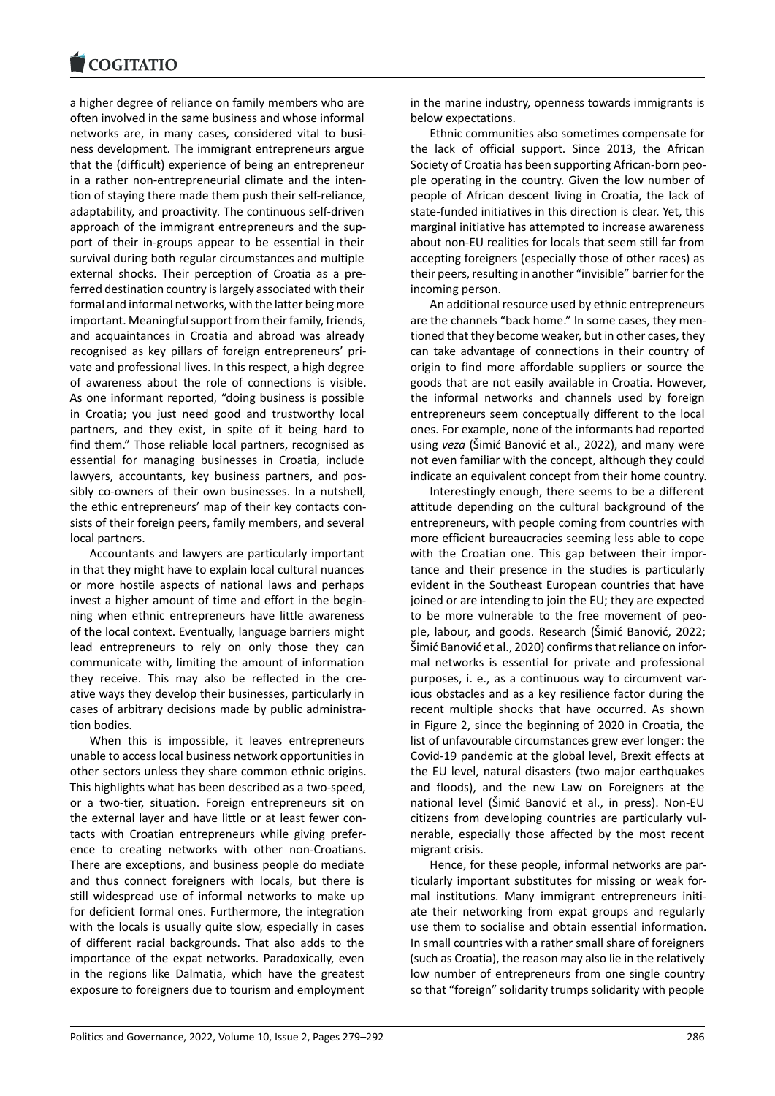a higher degree of reliance on family members who are [often involved in the](https://www.cogitatiopress.com) same business and whose informal networks are, in many cases, considered vital to busi‐ ness development. The immigrant entrepreneurs argue that the (difficult) experience of being an entrepreneur in a rather non-entrepreneurial climate and the intention of staying there made them push their self‐reliance, adaptability, and proactivity. The continuous self‐driven approach of the immigrant entrepreneurs and the sup‐ port of their in‐groups appear to be essential in their survival during both regular circumstances and multiple external shocks. Their perception of Croatia as a pre‐ ferred destination country is largely associated with their formal and informal networks, with the latter being more important. Meaningful support from their family, friends, and acquaintances in Croatia and abroad was already recognised as key pillars of foreign entrepreneurs' pri‐ vate and professional lives. In this respect, a high degree of awareness about the role of connections is visible. As one informant reported, "doing business is possible in Croatia; you just need good and trustworthy local partners, and they exist, in spite of it being hard to find them." Those reliable local partners, recognised as essential for managing businesses in Croatia, include lawyers, accountants, key business partners, and pos‐ sibly co-owners of their own businesses. In a nutshell, the ethic entrepreneurs' map of their key contacts con‐ sists of their foreign peers, family members, and several local partners.

Accountants and lawyers are particularly important in that they might have to explain local cultural nuances or more hostile aspects of national laws and perhaps invest a higher amount of time and effort in the begin‐ ning when ethnic entrepreneurs have little awareness of the local context. Eventually, language barriers might lead entrepreneurs to rely on only those they can communicate with, limiting the amount of information they receive. This may also be reflected in the cre‐ ative ways they develop their businesses, particularly in cases of arbitrary decisions made by public administra‐ tion bodies.

When this is impossible, it leaves entrepreneurs unable to access local business network opportunities in other sectors unless they share common ethnic origins. This highlights what has been described as a two‐speed, or a two‐tier, situation. Foreign entrepreneurs sit on the external layer and have little or at least fewer con‐ tacts with Croatian entrepreneurs while giving prefer‐ ence to creating networks with other non‐Croatians. There are exceptions, and business people do mediate and thus connect foreigners with locals, but there is still widespread use of informal networks to make up for deficient formal ones. Furthermore, the integration with the locals is usually quite slow, especially in cases of different racial backgrounds. That also adds to the importance of the expat networks. Paradoxically, even in the regions like Dalmatia, which have the greatest exposure to foreigners due to tourism and employment in the marine industry, openness towards immigrants is below expectations.

Ethnic communities also sometimes compensate for the lack of official support. Since 2013, the African Society of Croatia has been supporting African‐born peo‐ ple operating in the country. Given the low number of people of African descent living in Croatia, the lack of state-funded initiatives in this direction is clear. Yet, this marginal initiative has attempted to increase awareness about non‐EU realities for locals that seem still far from accepting foreigners (especially those of other races) as their peers, resulting in another "invisible" barrier for the incoming person.

An additional resource used by ethnic entrepreneurs are the channels "back home." In some cases, they men‐ tioned that they become weaker, but in other cases, they can take advantage of connections in their country of origin to find more affordable suppliers or source the goods that are not easily available in Croatia. However, the informal networks and channels used by foreign entrepreneurs seem conceptually different to the local ones. For example, none of the informants had reported using *veza* (Šimić Banović et al., 2022), and many were not even familiar with the concept, although they could indicate an equivalent concept from their home country.

Interestingly enough, there seems to be a different attitude depending on the cultural background of the entrepreneurs, with people coming from countries with more efficient bureaucracies seeming less able to cope with the Croatian one. This gap between their importance and their presence in the studies is particularly evident in the Southeast European countries that have joined or are intending to join the EU; they are expected to be more vulnerable to the free movement of peo‐ ple, labour, and goods. Research (Šimić Banović, 2022; Šimić Banović et al., 2020) confirms that reliance on infor‐ mal networks is essential for private and professional purposes, i. e., as a continuous way to circumvent var‐ ious obstacles and as a key resilience factor during the recent multiple shocks that have occurred. As shown in Figure 2, since the beginning of 2020 in Croatia, the list of unfavourable circumstances grew ever longer: the Covid‐19 pandemic at the global level, Brexit effects at the EU level, natural disasters (two major earthquakes and floods), and the new Law on Foreigners at the national level (Šimić Banović et al., in press). Non‐EU citizens from developing countries are particularly vul‐ nerable, especially those affected by the most recent migrant crisis.

Hence, for these people, informal networks are par‐ ticularly important substitutes for missing or weak for‐ mal institutions. Many immigrant entrepreneurs initiate their networking from expat groups and regularly use them to socialise and obtain essential information. In small countries with a rather small share of foreigners (such as Croatia), the reason may also lie in the relatively low number of entrepreneurs from one single country so that "foreign" solidarity trumps solidarity with people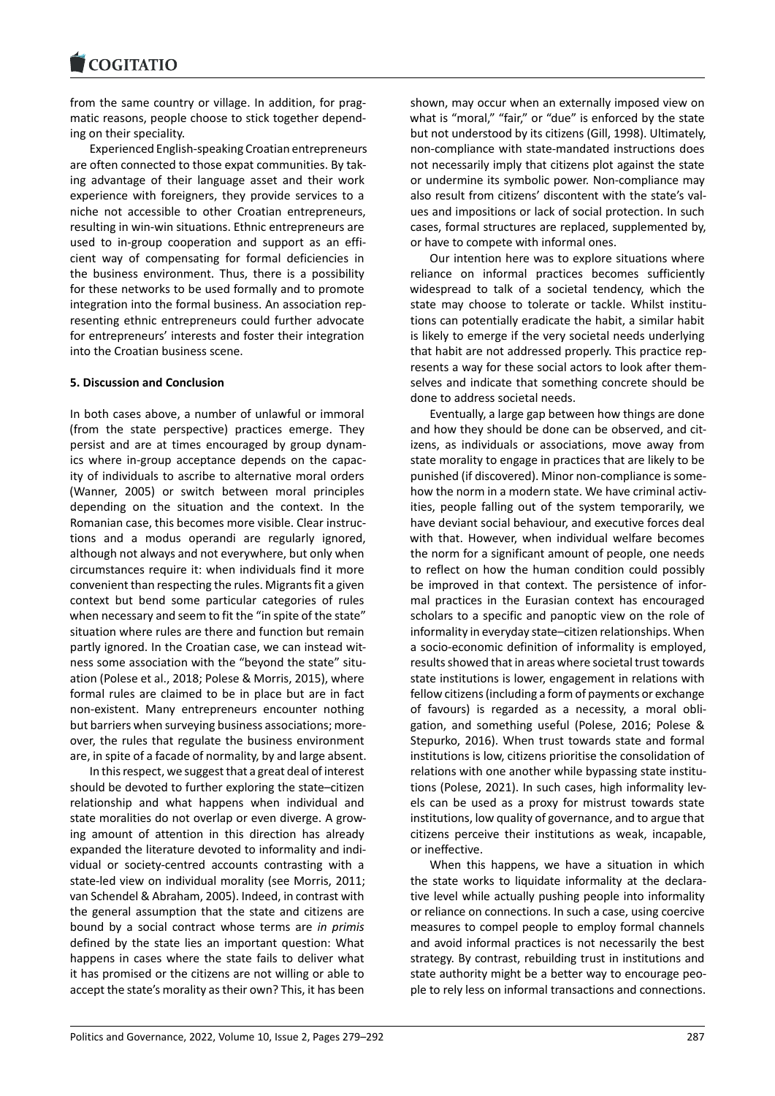from the same country or village. In addition, for prag[matic reasons, peop](https://www.cogitatiopress.com)le choose to stick together depend‐ ing on their speciality.

Experienced English‐speaking Croatian entrepreneurs are often connected to those expat communities. By tak‐ ing advantage of their language asset and their work experience with foreigners, they provide services to a niche not accessible to other Croatian entrepreneurs, resulting in win‐win situations. Ethnic entrepreneurs are used to in‐group cooperation and support as an effi‐ cient way of compensating for formal deficiencies in the business environment. Thus, there is a possibility for these networks to be used formally and to promote integration into the formal business. An association representing ethnic entrepreneurs could further advocate for entrepreneurs' interests and foster their integration into the Croatian business scene.

# **5. Discussion and Conclusion**

In both cases above, a number of unlawful or immoral (from the state perspective) practices emerge. They persist and are at times encouraged by group dynam‐ ics where in‐group acceptance depends on the capac‐ ity of individuals to ascribe to alternative moral orders (Wanner, 2005) or switch between moral principles depending on the situation and the context. In the Romanian case, this becomes more visible. Clear instruc‐ tions and a modus operandi are regularly ignored, although not always and not everywhere, but only when circumstances require it: when individuals find it more convenient than respecting the rules. Migrants fit a given context but bend some particular categories of rules when necessary and seem to fit the "in spite of the state" situation where rules are there and function but remain partly ignored. In the Croatian case, we can instead wit‐ ness some association with the "beyond the state" situ‐ ation (Polese et al., 2018; Polese & Morris, 2015), where formal rules are claimed to be in place but are in fact non‐existent. Many entrepreneurs encounter nothing but barriers when surveying business associations; more‐ over, the rules that regulate the business environment are, in spite of a facade of normality, by and large absent.

In this respect, we suggest that a great deal of interest should be devoted to further exploring the state–citizen relationship and what happens when individual and state moralities do not overlap or even diverge. A grow‐ ing amount of attention in this direction has already expanded the literature devoted to informality and indi‐ vidual or society‐centred accounts contrasting with a state-led view on individual morality (see Morris, 2011; van Schendel & Abraham, 2005) . Indeed, in contrast with the general assumption that the state and citizens are bound by a social contract whose terms are *in primis* defined by the state lies an important question: What happens in cases where the state fails to deliver what it has promised or the citizens are not willing or able to accept the state's morality as their own? This, it has been shown, may occur when an externally imposed view on what is "moral," "fair," or "due" is enforced by the state but not understood by its citizens (Gill, 1998). Ultimately, non‐compliance with state‐mandated instructions does not necessarily imply that citizens plot against the state or undermine its symbolic power. Non‐compliance may also result from citizens' discontent with the state's val‐ ues and impositions or lack of social protection. In such cases, formal structures are replaced, supplemented by, or have to compete with informal ones.

Our intention here was to explore situations where reliance on informal practices becomes sufficiently widespread to talk of a societal tendency, which the state may choose to tolerate or tackle. Whilst institutions can potentially eradicate the habit, a similar habit is likely to emerge if the very societal needs underlying that habit are not addressed properly. This practice rep‐ resents a way for these social actors to look after them‐ selves and indicate that something concrete should be done to address societal needs.

Eventually, a large gap between how things are done and how they should be done can be observed, and citizens, as individuals or associations, move away from state morality to engage in practices that are likely to be punished (if discovered). Minor non‐compliance is some‐ how the norm in a modern state. We have criminal activities, people falling out of the system temporarily, we have deviant social behaviour, and executive forces deal with that. However, when individual welfare becomes the norm for a significant amount of people, one needs to reflect on how the human condition could possibly be improved in that context. The persistence of infor‐ mal practices in the Eurasian context has encouraged scholars to a specific and panoptic view on the role of informality in everyday state–citizen relationships. When a socio‐economic definition of informality is employed, results showed that in areas where societal trust towards state institutions is lower, engagement in relations with fellow citizens (including a form of payments or exchange of favours) is regarded as a necessity, a moral obli‐ gation, and something useful (Polese, 2016; Polese & Stepurko, 2016). When trust towards state and formal institutions is low, citizens prioritise the consolidation of relations with one another while bypassing state institu‐ tions (Polese, 2021). In such cases, high informality levels can be used as a proxy for mistrust towards state institutions, low quality of governance, and to argue that citizens perceive their institutions as weak, incapable, or ineffective.

When this happens, we have a situation in which the state works to liquidate informality at the declara‐ tive level while actually pushing people into informality or reliance on connections. In such a case, using coercive measures to compel people to employ formal channels and avoid informal practices is not necessarily the best strategy. By contrast, rebuilding trust in institutions and state authority might be a better way to encourage peo‐ ple to rely less on informal transactions and connections.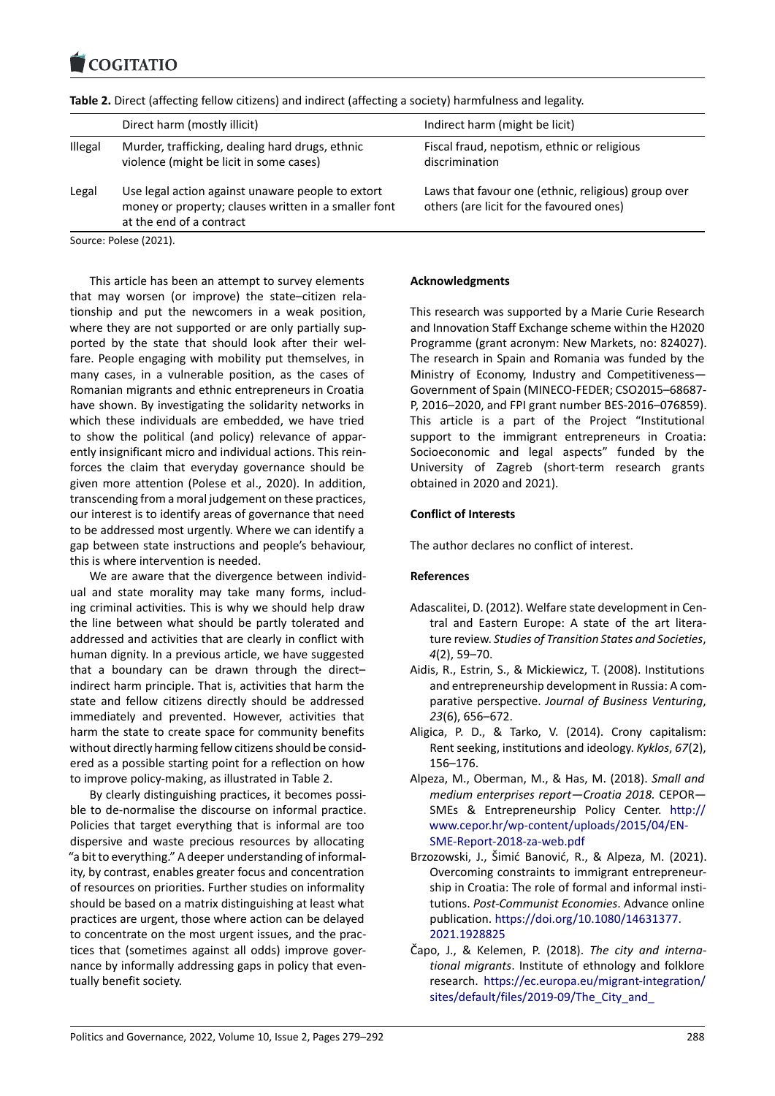#### COQUATIO

| Table 2. Direct (affecting fellow citizens) and indirect (affecting a society) harmfulness and legality. |                                                                                            |                                                               |  |  |
|----------------------------------------------------------------------------------------------------------|--------------------------------------------------------------------------------------------|---------------------------------------------------------------|--|--|
|                                                                                                          | Direct harm (mostly illicit)                                                               | Indirect harm (might be licit)                                |  |  |
| <b>Illegal</b>                                                                                           | Murder, trafficking, dealing hard drugs, ethnic<br>violence (might be licit in some cases) | Fiscal fraud, nepotism, ethnic or religious<br>discrimination |  |  |

Legal Use legal action against unaware people to extort money or property; clauses written in a smaller font at the end of a contract

Source: Polese (2021).

This article has been an attempt to survey elements that may worsen (or improve) the state–citizen rela‐ tionship and put the newcomers in a weak position, where they are not supported or are only partially supported by the state that should look after their wel‐ fare. People engaging with mobility put themselves, in many cases, in a vulnerable position, as the cases of Romanian migrants and ethnic entrepreneurs in Croatia have shown. By investigating the solidarity networks in which these individuals are embedded, we have tried to show the political (and policy) relevance of appar‐ ently insignificant micro and individual actions. This rein‐ forces the claim that everyday governance should be given more attention (Polese et al., 2020). In addition, transcending from a moral judgement on these practices, our interest is to identify areas of governance that need to be addressed most urgently. Where we can identify a gap between state instructions and people's behaviour, this is where intervention is needed.

We are aware that the divergence between individual and state morality may take many forms, includ‐ ing criminal activities. This is why we should help draw the line between what should be partly tolerated and addressed and activities that are clearly in conflict with human dignity. In a previous article, we have suggested that a boundary can be drawn through the direct– indirect harm principle. That is, activities that harm the state and fellow citizens directly should be addressed immediately and prevented. However, activities that harm the state to create space for community benefits without directly harming fellow citizens should be consid‐ ered as a possible starting point for a reflection on how to improve policy‐making, as illustrated in Table 2.

By clearly distinguishing practices, it becomes possi‐ ble to de‐normalise the discourse on informal practice. Policies that target everything that is informal are too dispersive and waste precious resources by allocating "a bit to everything." A deeper understanding of informal‐ ity, by contrast, enables greater focus and concentration of resources on priorities. Further studies on informality should be based on a matrix distinguishing at least what practices are urgent, those where action can be delayed to concentrate on the most urgent issues, and the prac‐ tices that (sometimes against all odds) improve gover‐ nance by informally addressing gaps in policy that even‐ tually benefit society.

### **Acknowledgments**

This research was supported by a Marie Curie Research and Innovation Staff Exchange scheme within the H2020 Programme (grant acronym: New Markets, no: 824027). The research in Spain and Romania was funded by the Ministry of Economy, Industry and Competitiveness— Government of Spain (MINECO‐FEDER; CSO2015–68687‐ P, 2016–2020, and FPI grant number BES‐2016–076859). This article is a part of the Project "Institutional support to the immigrant entrepreneurs in Croatia: Socioeconomic and legal aspects" funded by the University of Zagreb (short‐term research grants obtained in 2020 and 2021).

Laws that favour one (ethnic, religious) group over

others (are licit for the favoured ones)

### **Conflict of Interests**

The author declares no conflict of interest.

# **References**

- Adascalitei, D. (2012). Welfare state development in Cen‐ tral and Eastern Europe: A state of the art litera‐ ture review. *Studies of Transition States and Societies*, *4*(2), 59–70.
- Aidis, R., Estrin, S., & Mickiewicz, T. (2008). Institutions and entrepreneurship development in Russia: A com‐ parative perspective. *Journal of Business Venturing*, *23*(6), 656–672.
- Aligica, P. D., & Tarko, V. (2014). Crony capitalism: Rent seeking, institutions and ideology. *Kyklos*, *67*(2), 156–176.
- Alpeza, M., Oberman, M., & Has, M. (2018). *Small and medium enterprises report—Croatia 2018.* CEPOR— SMEs & Entrepreneurship Policy Center. http:// www.cepor.hr/wp‐content/uploads/2015/04/EN‐ SME‐Report‐2018‐za‐web.pdf
- Brzozowski, J., Šimić Banović, R., & Alpeza, M. (2021). Overcoming constraints to immigrant entrep[reneur‐](http://www.cepor.hr/wp-content/uploads/2015/04/EN-SME-Report-2018-za-web.pdf) [ship in Croatia: The role of formal and informal in](http://www.cepor.hr/wp-content/uploads/2015/04/EN-SME-Report-2018-za-web.pdf)sti‐ tutions. *[Post‐Communist Econ](http://www.cepor.hr/wp-content/uploads/2015/04/EN-SME-Report-2018-za-web.pdf)omies*. Advance online publication. https://doi.org/10.1080/14631377. 2021.1928825
- Čapo, J., & Kelemen, P. (2018). *The city and interna‐ tional migrants*. Institute of ethnology and folklore research. h[ttps://ec.europa.eu/migrant‐integrat](https://doi.org/10.1080/14631377.2021.1928825)ion/ [sites/default/fi](https://doi.org/10.1080/14631377.2021.1928825)les/2019‐09/The\_City\_and\_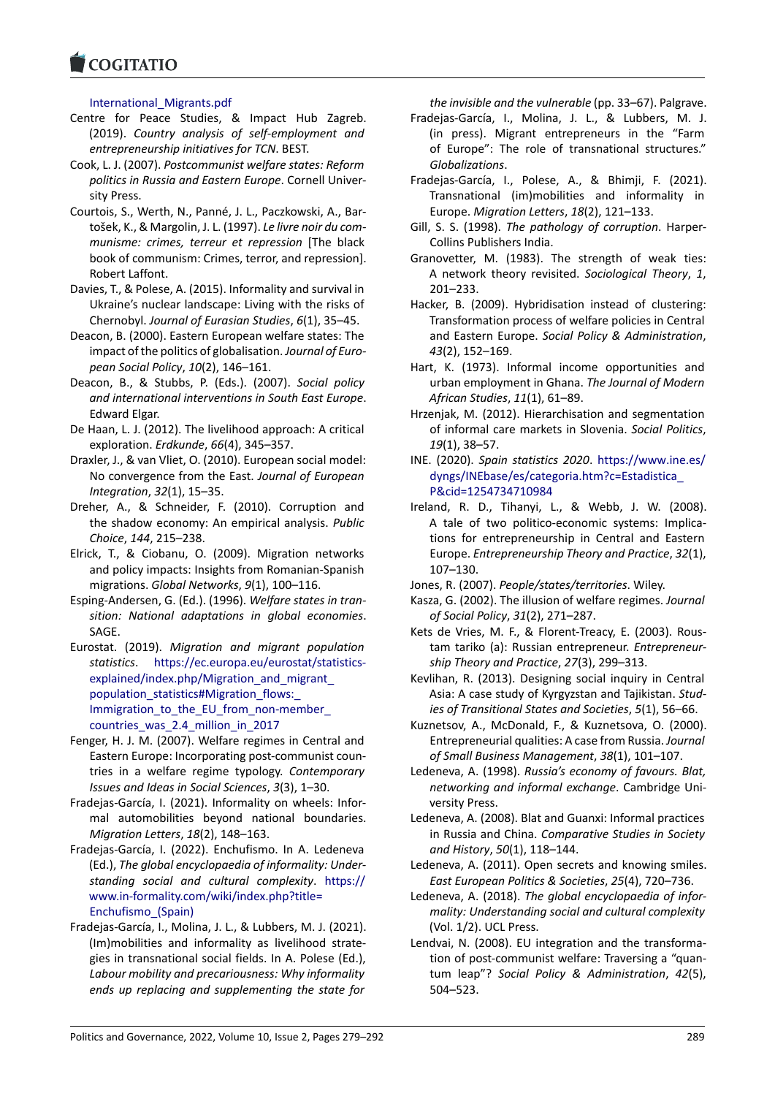# International\_Migrants.pdf

- [Centre for Peace](https://www.cogitatiopress.com) Studies, & Impact Hub Zagreb. (2019). *Country analysis of self‐employment and entrepreneurship initiatives for TCN*. BEST.
- Cook, L. J. (2007). *Postcommunist welfare states: Reform politics in Russia and Eastern Europe*. Cornell Univer‐ sity Press.
- Courtois, S., Werth, N., Panné, J. L., Paczkowski, A., Bar‐ tošek, K., & Margolin, J. L. (1997). *Le livre noir du com‐ munisme: crimes, terreur et repression* [The black book of communism: Crimes, terror, and repression]. Robert Laffont.
- Davies, T., & Polese, A. (2015). Informality and survival in Ukraine's nuclear landscape: Living with the risks of Chernobyl. *Journal of Eurasian Studies*, *6*(1), 35–45.
- Deacon, B. (2000). Eastern European welfare states: The impact of the politics of globalisation. *Journal of Euro‐ pean Social Policy*, *10*(2), 146–161.
- Deacon, B., & Stubbs, P. (Eds.). (2007). *Social policy and international interventions in South East Europe*. Edward Elgar.
- De Haan, L. J. (2012). The livelihood approach: A critical exploration. *Erdkunde*, *66*(4), 345–357.
- Draxler, J., & van Vliet, O. (2010). European social model: No convergence from the East. *Journal of European Integration*, *32*(1), 15–35.
- Dreher, A., & Schneider, F. (2010). Corruption and the shadow economy: An empirical analysis. *Public Choice*, *144*, 215–238.
- Elrick, T., & Ciobanu, O. (2009). Migration networks and policy impacts: Insights from Romanian‐Spanish migrations. *Global Networks*, *9*(1), 100–116.
- Esping‐Andersen, G. (Ed.). (1996). *Welfare states in tran‐ sition: National adaptations in global economies*. SAGE.
- Eurostat. (2019). *Migration and migrant population statistics*. https://ec.europa.eu/eurostat/statistics‐ explained/index.php/Migration\_and\_migrant\_ population\_statistics#Migration\_flows: Immigration to the EU from non-member countries\_[was\\_2.4\\_million\\_in\\_2017](https://ec.europa.eu/eurostat/statistics-explained/index.php/Migration_and_migrant_population_statistics#Migration_flows:_Immigration_to_the_EU_from_non-member_countries_was_2.4_million_in_2017)
- Fen[ger, H. J. M. \(2007\). Welfare regimes in Centra](https://ec.europa.eu/eurostat/statistics-explained/index.php/Migration_and_migrant_population_statistics#Migration_flows:_Immigration_to_the_EU_from_non-member_countries_was_2.4_million_in_2017)l and [Eastern Europe: Incorporating post‐comm](https://ec.europa.eu/eurostat/statistics-explained/index.php/Migration_and_migrant_population_statistics#Migration_flows:_Immigration_to_the_EU_from_non-member_countries_was_2.4_million_in_2017)unist coun‐ [tries in a welfare regime typology.](https://ec.europa.eu/eurostat/statistics-explained/index.php/Migration_and_migrant_population_statistics#Migration_flows:_Immigration_to_the_EU_from_non-member_countries_was_2.4_million_in_2017) *Contemporary [Issues and Ideas in Social Sciences](https://ec.europa.eu/eurostat/statistics-explained/index.php/Migration_and_migrant_population_statistics#Migration_flows:_Immigration_to_the_EU_from_non-member_countries_was_2.4_million_in_2017)*, *3*(3), 1–30.
- Fradejas‐García, I. (2021). Informality on wheels: Infor‐ mal automobilities beyond national boundaries. *Migration Letters*, *18*(2), 148–163.
- Fradejas‐García, I. (2022). Enchufismo. In A. Ledeneva (Ed.), *The global encyclopaedia of informality: Under‐ standing social and cultural complexity*. https:// www.in‐formality.com/wiki/index.php?title= Enchufismo\_(Spain)
- Fradejas‐García, I., Molina, J. L., & Lubbers, M. J. (2021). (Im)mobilities and informality as livelihoo[d strate‐](https://www.in-formality.com/wiki/index.php?title=Enchufismo_(Spain)) [gies in transnational social fields. In A. Pole](https://www.in-formality.com/wiki/index.php?title=Enchufismo_(Spain))se (Ed.), *[Labour mobility and](https://www.in-formality.com/wiki/index.php?title=Enchufismo_(Spain)) precariousness: Why informality ends up replacing and supplementing the state for*

*the invisible and the vulnerable* (pp. 33–67). Palgrave.

- Fradejas‐García, I., Molina, J. L., & Lubbers, M. J. (in press). Migrant entrepreneurs in the "Farm of Europe": The role of transnational structures." *Globalizations*.
- Fradejas‐García, I., Polese, A., & Bhimji, F. (2021). Transnational (im)mobilities and informality in Europe. *Migration Letters*, *18*(2), 121–133.
- Gill, S. S. (1998). *The pathology of corruption*. Harper‐ Collins Publishers India.
- Granovetter, M. (1983). The strength of weak ties: A network theory revisited. *Sociological Theory*, *1*, 201–233.
- Hacker, B. (2009). Hybridisation instead of clustering: Transformation process of welfare policies in Central and Eastern Europe. *Social Policy & Administration*, *43*(2), 152–169.
- Hart, K. (1973). Informal income opportunities and urban employment in Ghana. *The Journal of Modern African Studies*, *11*(1), 61–89.
- Hrzenjak, M. (2012). Hierarchisation and segmentation of informal care markets in Slovenia. *Social Politics*, *19*(1), 38–57.
- INE. (2020). *Spain statistics 2020*. https://www.ine.es/ dyngs/INEbase/es/categoria.htm?c=Estadistica\_ P&cid=1254734710984
- Ireland, R. D., Tihanyi, L., & Webb, J. W. (2008). A tale of two politico‐econo[mic systems: Implica‐](https://www.ine.es/dyngs/INEbase/es/categoria.htm?c=Estadistica_P&cid=1254734710984) [tions for entrepreneurship in Central and East](https://www.ine.es/dyngs/INEbase/es/categoria.htm?c=Estadistica_P&cid=1254734710984)ern Europe. *[Entrepreneursh](https://www.ine.es/dyngs/INEbase/es/categoria.htm?c=Estadistica_P&cid=1254734710984)ip Theory and Practice*, *32*(1), 107–130.
- Jones, R. (2007). *People/states/territories*. Wiley.
- Kasza, G. (2002). The illusion of welfare regimes. *Journal of Social Policy*, *31*(2), 271–287.
- Kets de Vries, M. F., & Florent‐Treacy, E. (2003). Rous‐ tam tariko (a): Russian entrepreneur. *Entrepreneur‐ ship Theory and Practice*, *27*(3), 299–313.
- Kevlihan, R. (2013). Designing social inquiry in Central Asia: A case study of Kyrgyzstan and Tajikistan. *Stud‐ ies of Transitional States and Societies*, *5*(1), 56–66.
- Kuznetsov, A., McDonald, F., & Kuznetsova, O. (2000). Entrepreneurial qualities: A case from Russia. *Journal of Small Business Management*, *38*(1), 101–107.
- Ledeneva, A. (1998). *Russia's economy of favours. Blat, networking and informal exchange*. Cambridge Uni‐ versity Press.
- Ledeneva, A. (2008). Blat and Guanxi: Informal practices in Russia and China. *Comparative Studies in Society and History*, *50*(1), 118–144.
- Ledeneva, A. (2011). Open secrets and knowing smiles. *East European Politics & Societies*, *25*(4), 720–736.
- Ledeneva, A. (2018). *The global encyclopaedia of infor‐ mality: Understanding social and cultural complexity* (Vol. 1/2). UCL Press.
- Lendvai, N. (2008). EU integration and the transforma‐ tion of post-communist welfare: Traversing a "quantum leap"? *Social Policy & Administration*, *42*(5), 504–523.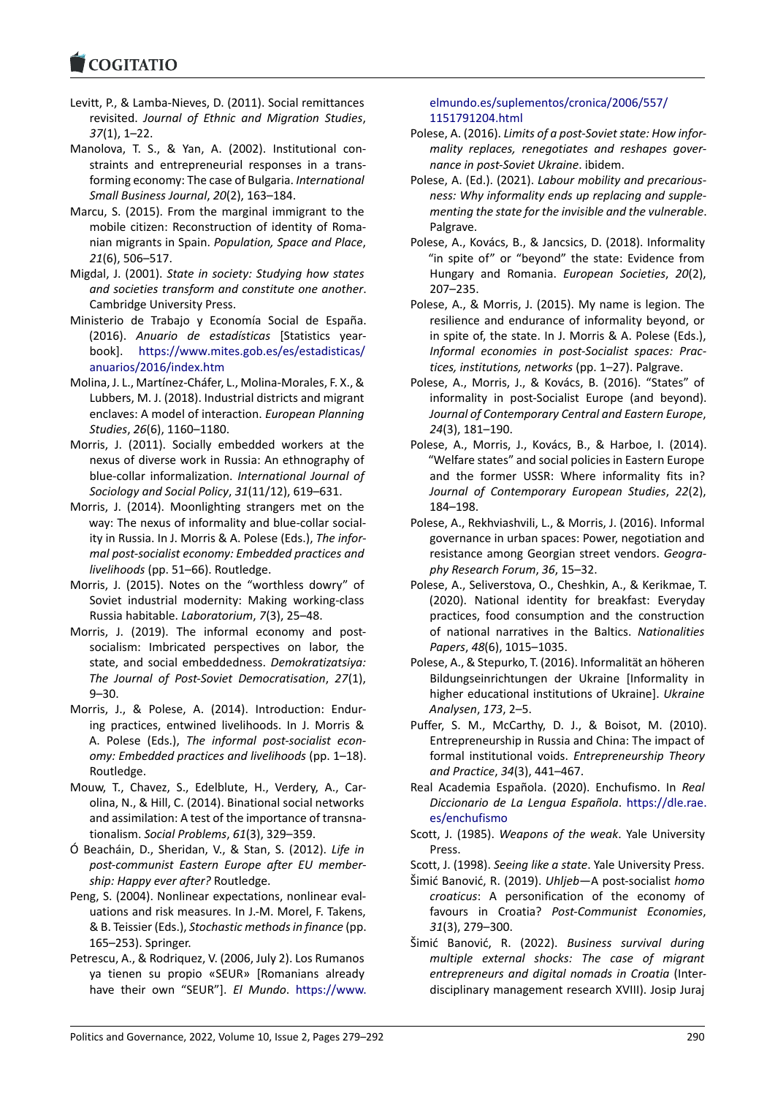- Levitt, P., & Lamba‐Nieves, D. (2011). Social remittances revisited. *Journal of Ethnic and Migration Studies*, *37*[\(1\), 1–22.](https://www.cogitatiopress.com)
- Manolova, T. S., & Yan, A. (2002). Institutional con‐ straints and entrepreneurial responses in a trans‐ forming economy: The case of Bulgaria. *International Small Business Journal*, *20*(2), 163–184.
- Marcu, S. (2015). From the marginal immigrant to the mobile citizen: Reconstruction of identity of Roma‐ nian migrants in Spain. *Population, Space and Place*, *21*(6), 506–517.
- Migdal, J. (2001). *State in society: Studying how states and societies transform and constitute one another*. Cambridge University Press.
- Ministerio de Trabajo y Economía Social de España. (2016). *Anuario de estadísticas* [Statistics year‐ book]. https://www.mites.gob.es/es/estadisticas/ anuarios/2016/index.htm
- Molina, J. L., Martínez‐Cháfer, L., Molina‐Morales, F. X., & Lubbers, M. J. (2018). Industrial districts and migrant enclaves: [A model of interaction.](https://www.mites.gob.es/es/estadisticas/anuarios/2016/index.htm) *European Planning Studies*, *26*[\(6\), 1160–1180](https://www.mites.gob.es/es/estadisticas/anuarios/2016/index.htm).
- Morris, J. (2011). Socially embedded workers at the nexus of diverse work in Russia: An ethnography of blue‐collar informalization. *International Journal of Sociology and Social Policy*, *31*(11/12), 619–631.
- Morris, J. (2014). Moonlighting strangers met on the way: The nexus of informality and blue-collar sociality in Russia. In J. Morris & A. Polese (Eds.), *The infor‐ mal post‐socialist economy: Embedded practices and livelihoods* (pp. 51–66). Routledge.
- Morris, J. (2015). Notes on the "worthless dowry" of Soviet industrial modernity: Making working‐class Russia habitable. *Laboratorium*, *7*(3), 25–48.
- Morris, J. (2019). The informal economy and postsocialism: Imbricated perspectives on labor, the state, and social embeddedness. *Demokratizatsiya: The Journal of Post‐Soviet Democratisation*, *27*(1), 9–30.
- Morris, J., & Polese, A. (2014). Introduction: Endur‐ ing practices, entwined livelihoods. In J. Morris & A. Polese (Eds.), *The informal post‐socialist econ‐ omy: Embedded practices and livelihoods* (pp. 1–18). Routledge.
- Mouw, T., Chavez, S., Edelblute, H., Verdery, A., Car‐ olina, N., & Hill, C. (2014). Binational social networks and assimilation: A test of the importance of transna‐ tionalism. *Social Problems*, *61*(3), 329–359.
- Ó Beacháin, D., Sheridan, V., & Stan, S. (2012). *Life in post‐communist Eastern Europe after EU member‐ ship: Happy ever after?* Routledge.
- Peng, S. (2004). Nonlinear expectations, nonlinear eval‐ uations and risk measures. In J.‐M. Morel, F. Takens, & B. Teissier (Eds.), *Stochastic methods in finance* (pp. 165–253). Springer.
- Petrescu, A., & Rodriquez, V. (2006, July 2). Los Rumanos ya tienen su propio «SEUR» [Romanians already have their own "SEUR"]. *El Mundo*. https://www.

# elmundo.es/suplementos/cronica/2006/557/ 1151791204.html

- Polese, A. (2016). *Limits of a post‐Soviet state: How infor‐ mality replaces, renegotiates and reshapes gover‐ [nance in post‐Soviet Ukraine](https://www.elmundo.es/suplementos/cronica/2006/557/1151791204.html)*. ibidem.
- Pol[ese, A. \(Ed.\). \(2021](https://www.elmundo.es/suplementos/cronica/2006/557/1151791204.html)). *Labour mobility and precarious‐ ness: Why informality ends up replacing and supple‐ menting the state for the invisible and the vulnerable*. Palgrave.
- Polese, A., Kovács, B., & Jancsics, D. (2018). Informality "in spite of" or "beyond" the state: Evidence from Hungary and Romania. *European Societies*, *20*(2), 207–235.
- Polese, A., & Morris, J. (2015). My name is legion. The resilience and endurance of informality beyond, or in spite of, the state. In J. Morris & A. Polese (Eds.), *Informal economies in post‐Socialist spaces: Prac‐ tices, institutions, networks* (pp. 1–27). Palgrave.
- Polese, A., Morris, J., & Kovács, B. (2016). "States" of informality in post‐Socialist Europe (and beyond). *Journal of Contemporary Central and Eastern Europe*, *24*(3), 181–190.
- Polese, A., Morris, J., Kovács, B., & Harboe, I. (2014). "Welfare states" and social policies in Eastern Europe and the former USSR: Where informality fits in? *Journal of Contemporary European Studies*, *22*(2), 184–198.
- Polese, A., Rekhviashvili, L., & Morris, J. (2016). Informal governance in urban spaces: Power, negotiation and resistance among Georgian street vendors. *Geogra‐ phy Research Forum*, *36*, 15–32.
- Polese, A., Seliverstova, O., Cheshkin, A., & Kerikmae, T. (2020). National identity for breakfast: Everyday practices, food consumption and the construction of national narratives in the Baltics. *Nationalities Papers*, *48*(6), 1015–1035.
- Polese, A., & Stepurko, T. (2016). Informalität an höheren Bildungseinrichtungen der Ukraine [Informality in higher educational institutions of Ukraine]. *Ukraine Analysen*, *173*, 2–5.
- Puffer, S. M., McCarthy, D. J., & Boisot, M. (2010). Entrepreneurship in Russia and China: The impact of formal institutional voids. *Entrepreneurship Theory and Practice*, *34*(3), 441–467.
- Real Academia Española. (2020). Enchufismo. In *Real Diccionario de La Lengua Española*. https://dle.rae. es/enchufismo
- Scott, J. (1985). *Weapons of the weak*. Yale University Press.
- Scott, J. (1998). *Seeing like a state*. Yale U[niversity Press.](https://dle.rae.es/enchufismo)
- Ši[mić Banović, R. \(](https://dle.rae.es/enchufismo)2019). *Uhljeb*—A post‐socialist *homo croaticus*: A personification of the economy of favours in Croatia? *Post‐Communist Economies*, *31*(3), 279–300.
- Šimić Banović, R. (2022). *Business survival during multiple external shocks: The case of migrant entrepreneurs and digital nomads in Croatia* (Inter‐ disciplinary management research XVIII). Josip Juraj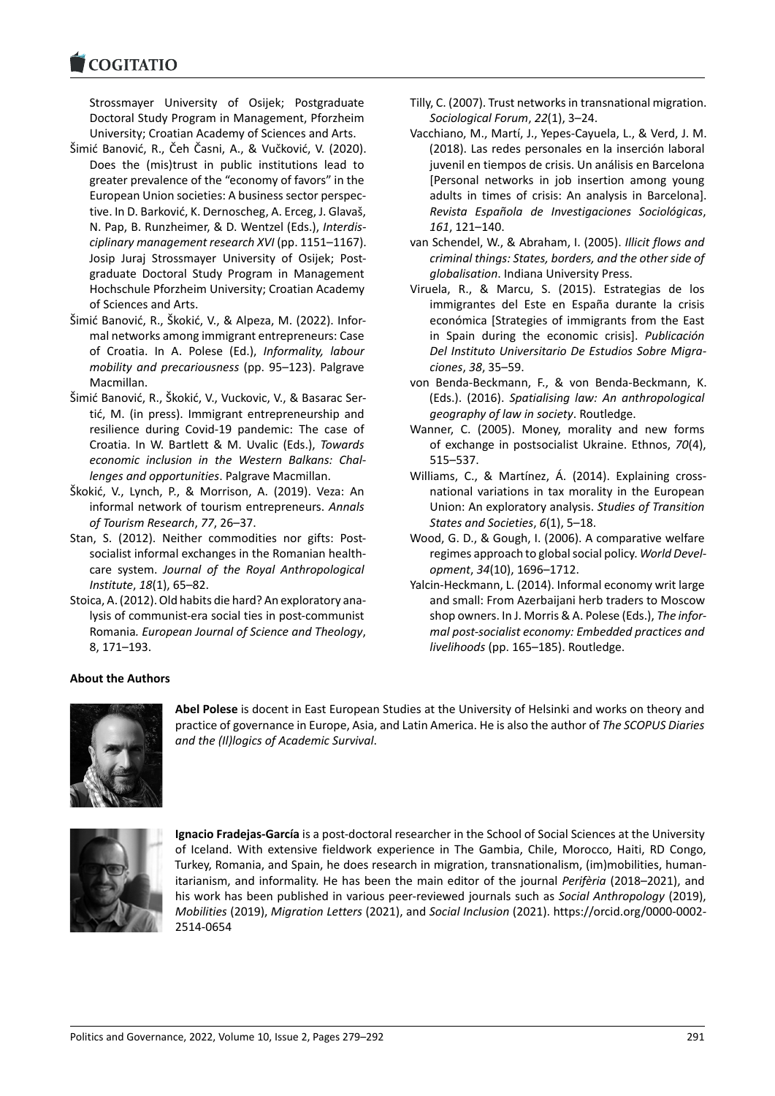#### COMITATIO

Strossmayer University of Osijek; Postgraduate [Doctoral Study P](https://www.cogitatiopress.com)rogram in Management, Pforzheim University; Croatian Academy of Sciences and Arts.

- Šimić Banović, R., Čeh Časni, A., & Vučković, V. (2020). Does the (mis)trust in public institutions lead to greater prevalence of the "economy of favors" in the European Union societies: A business sector perspec‐ tive. In D. Barković, K. Dernoscheg, A. Erceg, J. Glavaš, N. Pap, B. Runzheimer, & D. Wentzel (Eds.), *Interdis‐ ciplinary management research XVI* (pp. 1151–1167). Josip Juraj Strossmayer University of Osijek; Post‐ graduate Doctoral Study Program in Management Hochschule Pforzheim University; Croatian Academy of Sciences and Arts.
- Šimić Banović, R., Škokić, V., & Alpeza, M. (2022). Infor‐ mal networks among immigrant entrepreneurs: Case of Croatia. In A. Polese (Ed.), *Informality, labour mobility and precariousness* (pp. 95–123). Palgrave Macmillan.
- Šimić Banović, R., Škokić, V., Vuckovic, V., & Basarac Ser‐ tić, M. (in press). Immigrant entrepreneurship and resilience during Covid‐19 pandemic: The case of Croatia. In W. Bartlett & M. Uvalic (Eds.), *Towards economic inclusion in the Western Balkans: Chal‐ lenges and opportunities*. Palgrave Macmillan.
- Škokić, V., Lynch, P., & Morrison, A. (2019). Veza: An informal network of tourism entrepreneurs. *Annals of Tourism Research*, *77*, 26–37.
- Stan, S. (2012). Neither commodities nor gifts: Postsocialist informal exchanges in the Romanian health‐ care system. *Journal of the Royal Anthropological Institute*, *18*(1), 65–82.
- Stoica, A. (2012). Old habits die hard? An exploratory ana‐ lysis of communist‐era social ties in post‐communist Romania*. European Journal of Science and Theology*, 8, 171–193.
- Tilly, C. (2007). Trust networks in transnational migration. *Sociological Forum*, *22*(1), 3–24.
- Vacchiano, M., Martí, J., Yepes‐Cayuela, L., & Verd, J. M. (2018). Las redes personales en la inserción laboral juvenil en tiempos de crisis. Un análisis en Barcelona [Personal networks in job insertion among young adults in times of crisis: An analysis in Barcelona]. *Revista Española de Investigaciones Sociológicas*, *161*, 121–140.
- van Schendel, W., & Abraham, I. (2005). *Illicit flows and criminal things: States, borders, and the other side of globalisation*. Indiana University Press.
- Viruela, R., & Marcu, S. (2015). Estrategias de los immigrantes del Este en España durante la crisis económica [Strategies of immigrants from the East in Spain during the economic crisis]. *Publicación Del Instituto Universitario De Estudios Sobre Migra‐ ciones*, *38*, 35–59.
- von Benda‐Beckmann, F., & von Benda‐Beckmann, K. (Eds.). (2016). *Spatialising law: An anthropological geography of law in society*. Routledge.
- Wanner, C. (2005). Money, morality and new forms of exchange in postsocialist Ukraine. Ethnos, *70*(4), 515–537.
- Williams, C., & Martínez, Á. (2014). Explaining crossnational variations in tax morality in the European Union: An exploratory analysis. *Studies of Transition States and Societies*, *6*(1), 5–18.
- Wood, G. D., & Gough, I. (2006). A comparative welfare regimes approach to global social policy. *World Devel‐ opment*, *34*(10), 1696–1712.
- Yalcin‐Heckmann, L. (2014). Informal economy writ large and small: From Azerbaijani herb traders to Moscow shop owners. In J. Morris & A. Polese (Eds.), *The infor‐ mal post‐socialist economy: Embedded practices and livelihoods* (pp. 165–185). Routledge.

# **About the Authors**



**Abel Polese** is docent in East European Studies at the University of Helsinki and works on theory and practice of governance in Europe, Asia, and Latin America. He is also the author of *The SCOPUS Diaries and the (Il)logics of Academic Survival*.



**Ignacio Fradejas‐García** is a post‐doctoral researcher in the School of Social Sciences at the University of Iceland. With extensive fieldwork experience in The Gambia, Chile, Morocco, Haiti, RD Congo, Turkey, Romania, and Spain, he does research in migration, transnationalism, (im)mobilities, human‐ itarianism, and informality. He has been the main editor of the journal *Perifèria* (2018–2021), and his work has been published in various peer‐reviewed journals such as *Social Anthropology* (2019), *Mobilities* (2019), *Migration Letters* (2021), and *Social Inclusion* (2021). https://orcid.org/0000‐0002‐ 2514‐0654